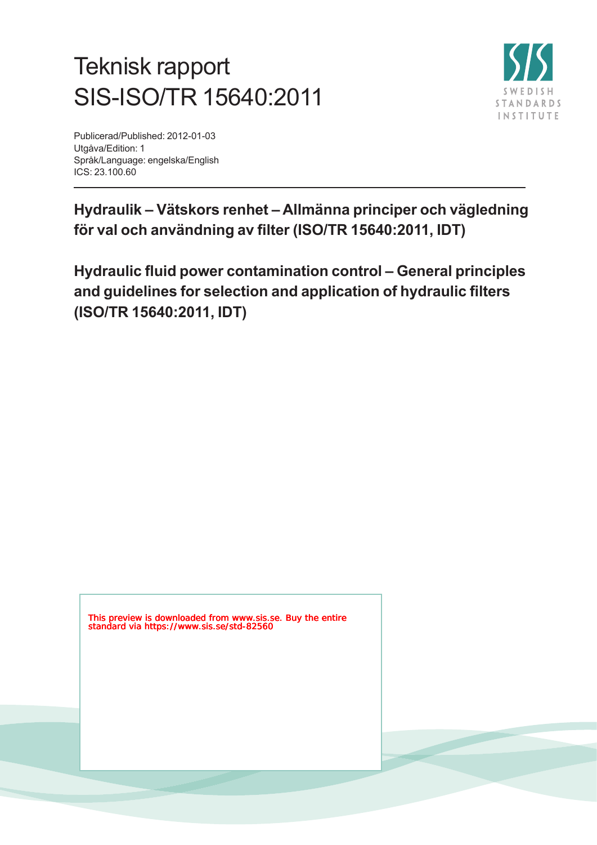# Teknisk rapport SIS-ISO/TR 15640:2011



Publicerad/Published: 2012-01-03 Utgåva/Edition: 1 Språk/Language: engelska/English ICS: 23.100.60

**Hydraulik – Vätskors renhet – Allmänna principer och vägledning för val och användning av filter (ISO/TR 15640:2011, IDT)**

**Hydraulic fluid power contamination control – General principles and guidelines for selection and application of hydraulic filters (ISO/TR 15640:2011, IDT)**

This preview is downloaded from www.sis.se. Buy the entire standard via https://www.sis.se/std-82560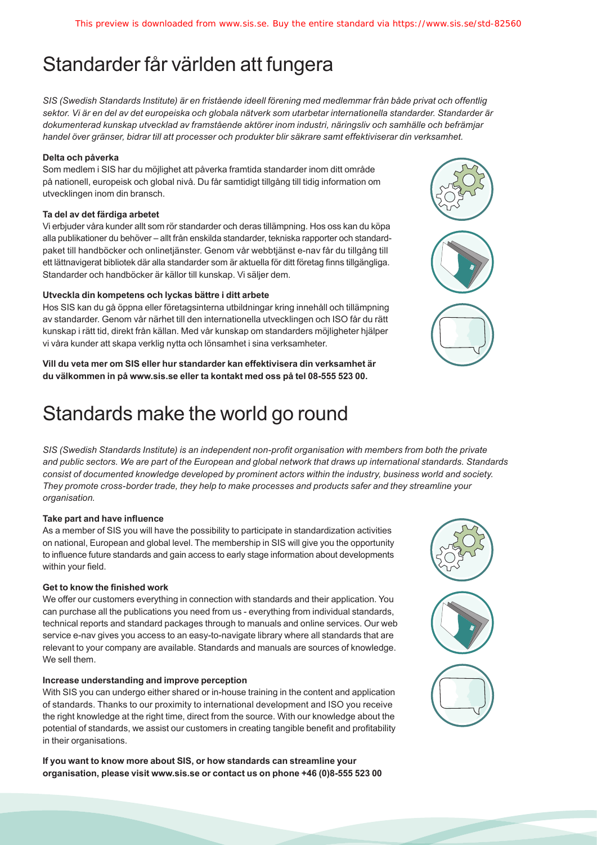## Standarder får världen att fungera

*SIS (Swedish Standards Institute) är en fristående ideell förening med medlemmar från både privat och offentlig sektor. Vi är en del av det europeiska och globala nätverk som utarbetar internationella standarder. Standarder är dokumenterad kunskap utvecklad av framstående aktörer inom industri, näringsliv och samhälle och befrämjar handel över gränser, bidrar till att processer och produkter blir säkrare samt effektiviserar din verksamhet.* 

#### **Delta och påverka**

Som medlem i SIS har du möjlighet att påverka framtida standarder inom ditt område på nationell, europeisk och global nivå. Du får samtidigt tillgång till tidig information om utvecklingen inom din bransch.

#### **Ta del av det färdiga arbetet**

Vi erbjuder våra kunder allt som rör standarder och deras tillämpning. Hos oss kan du köpa alla publikationer du behöver – allt från enskilda standarder, tekniska rapporter och standardpaket till handböcker och onlinetjänster. Genom vår webbtjänst e-nav får du tillgång till ett lättnavigerat bibliotek där alla standarder som är aktuella för ditt företag finns tillgängliga. Standarder och handböcker är källor till kunskap. Vi säljer dem.

#### **Utveckla din kompetens och lyckas bättre i ditt arbete**

Hos SIS kan du gå öppna eller företagsinterna utbildningar kring innehåll och tillämpning av standarder. Genom vår närhet till den internationella utvecklingen och ISO får du rätt kunskap i rätt tid, direkt från källan. Med vår kunskap om standarders möjligheter hjälper vi våra kunder att skapa verklig nytta och lönsamhet i sina verksamheter.

**Vill du veta mer om SIS eller hur standarder kan effektivisera din verksamhet är du välkommen in på www.sis.se eller ta kontakt med oss på tel 08-555 523 00.**

## Standards make the world go round

*SIS (Swedish Standards Institute) is an independent non-profit organisation with members from both the private and public sectors. We are part of the European and global network that draws up international standards. Standards consist of documented knowledge developed by prominent actors within the industry, business world and society. They promote cross-border trade, they help to make processes and products safer and they streamline your organisation.*

#### **Take part and have influence**

As a member of SIS you will have the possibility to participate in standardization activities on national, European and global level. The membership in SIS will give you the opportunity to influence future standards and gain access to early stage information about developments within your field.

#### **Get to know the finished work**

We offer our customers everything in connection with standards and their application. You can purchase all the publications you need from us - everything from individual standards, technical reports and standard packages through to manuals and online services. Our web service e-nav gives you access to an easy-to-navigate library where all standards that are relevant to your company are available. Standards and manuals are sources of knowledge. We sell them.

#### **Increase understanding and improve perception**

With SIS you can undergo either shared or in-house training in the content and application of standards. Thanks to our proximity to international development and ISO you receive the right knowledge at the right time, direct from the source. With our knowledge about the potential of standards, we assist our customers in creating tangible benefit and profitability in their organisations.

**If you want to know more about SIS, or how standards can streamline your organisation, please visit www.sis.se or contact us on phone +46 (0)8-555 523 00**



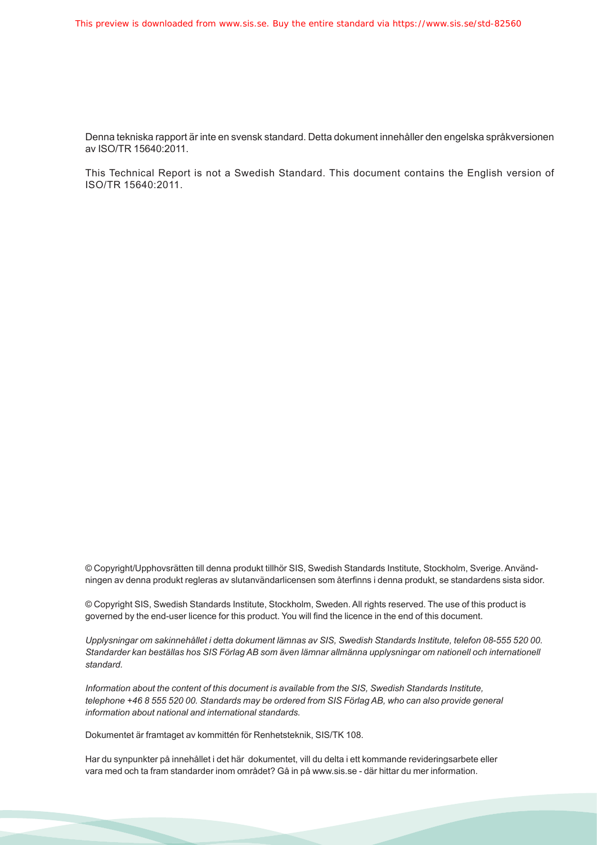Denna tekniska rapport är inte en svensk standard. Detta dokument innehåller den engelska språkversionen av ISO/TR 15640:2011.

This Technical Report is not a Swedish Standard. This document contains the English version of ISO/TR 15640:2011.

© Copyright/Upphovsrätten till denna produkt tillhör SIS, Swedish Standards Institute, Stockholm, Sverige. Användningen av denna produkt regleras av slutanvändarlicensen som återfinns i denna produkt, se standardens sista sidor.

© Copyright SIS, Swedish Standards Institute, Stockholm, Sweden. All rights reserved. The use of this product is governed by the end-user licence for this product. You will find the licence in the end of this document.

*Upplysningar om sakinnehållet i detta dokument lämnas av SIS, Swedish Standards Institute, telefon 08-555 520 00. Standarder kan beställas hos SIS Förlag AB som även lämnar allmänna upplysningar om nationell och internationell standard.*

*Information about the content of this document is available from the SIS. Swedish Standards Institute. telephone +46 8 555 520 00. Standards may be ordered from SIS Förlag AB, who can also provide general information about national and international standards.*

Dokumentet är framtaget av kommittén för Renhetsteknik, SIS/TK 108.

Har du synpunkter på innehållet i det här dokumentet, vill du delta i ett kommande revideringsarbete eller vara med och ta fram standarder inom området? Gå in på www.sis.se - där hittar du mer information.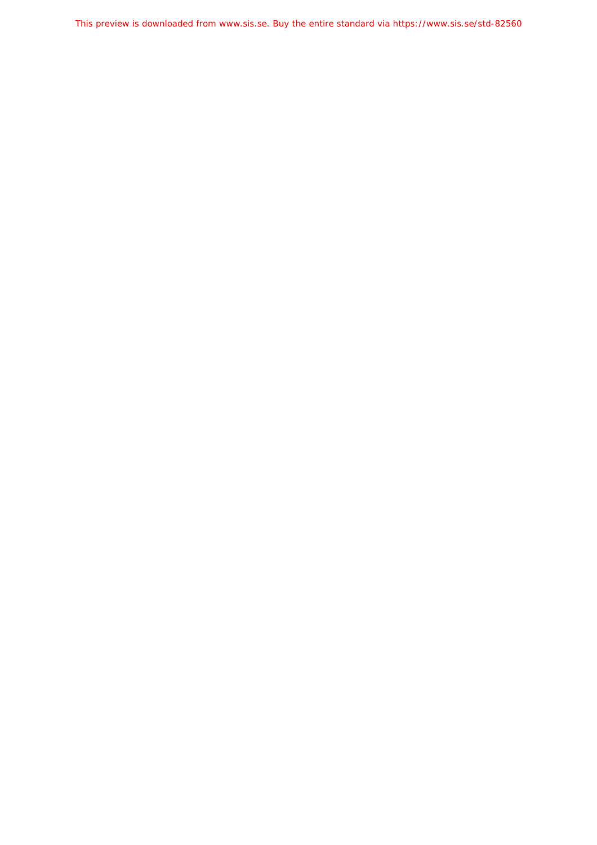This preview is downloaded from www.sis.se. Buy the entire standard via https://www.sis.se/std-82560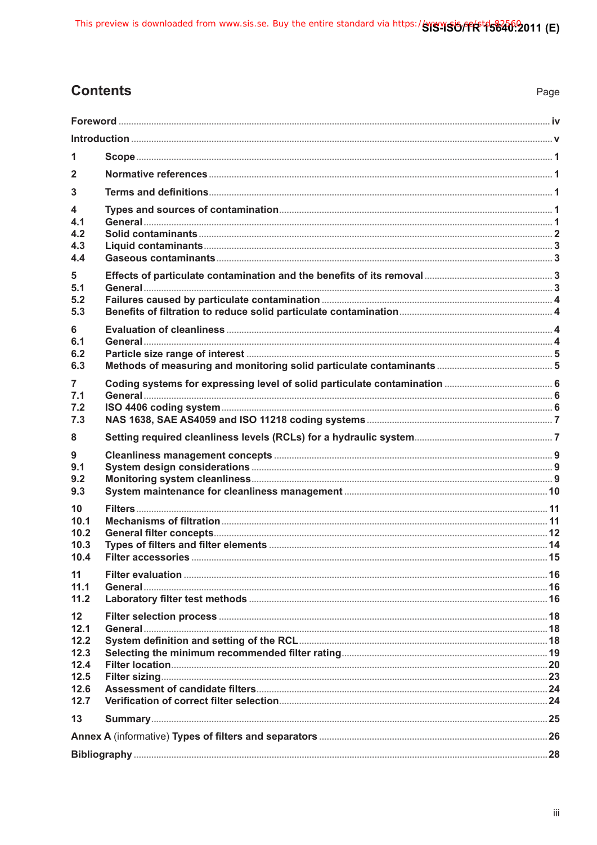## **Contents**

| 1              |  |  |  |  |  |  |
|----------------|--|--|--|--|--|--|
| $\mathbf{2}$   |  |  |  |  |  |  |
| 3              |  |  |  |  |  |  |
| 4              |  |  |  |  |  |  |
| 4.1            |  |  |  |  |  |  |
| 4.2            |  |  |  |  |  |  |
| 4.3<br>4.4     |  |  |  |  |  |  |
|                |  |  |  |  |  |  |
| 5<br>5.1       |  |  |  |  |  |  |
| 5.2            |  |  |  |  |  |  |
| 5.3            |  |  |  |  |  |  |
| 6              |  |  |  |  |  |  |
| 6.1            |  |  |  |  |  |  |
| 6.2<br>6.3     |  |  |  |  |  |  |
| $\overline{7}$ |  |  |  |  |  |  |
| 7.1            |  |  |  |  |  |  |
| 7.2            |  |  |  |  |  |  |
| 7.3            |  |  |  |  |  |  |
| 8              |  |  |  |  |  |  |
| 9              |  |  |  |  |  |  |
| 9.1            |  |  |  |  |  |  |
| 9.2<br>9.3     |  |  |  |  |  |  |
| 10             |  |  |  |  |  |  |
| 10.1           |  |  |  |  |  |  |
| 10.2           |  |  |  |  |  |  |
| 10.3           |  |  |  |  |  |  |
| 10.4           |  |  |  |  |  |  |
| 11<br>11.1     |  |  |  |  |  |  |
| 11.2           |  |  |  |  |  |  |
| 12             |  |  |  |  |  |  |
| 12.1           |  |  |  |  |  |  |
| 12.2           |  |  |  |  |  |  |
| 12.3           |  |  |  |  |  |  |
| 12.4<br>12.5   |  |  |  |  |  |  |
| 12.6<br>12.7   |  |  |  |  |  |  |
|                |  |  |  |  |  |  |
| 13             |  |  |  |  |  |  |
|                |  |  |  |  |  |  |
|                |  |  |  |  |  |  |

Page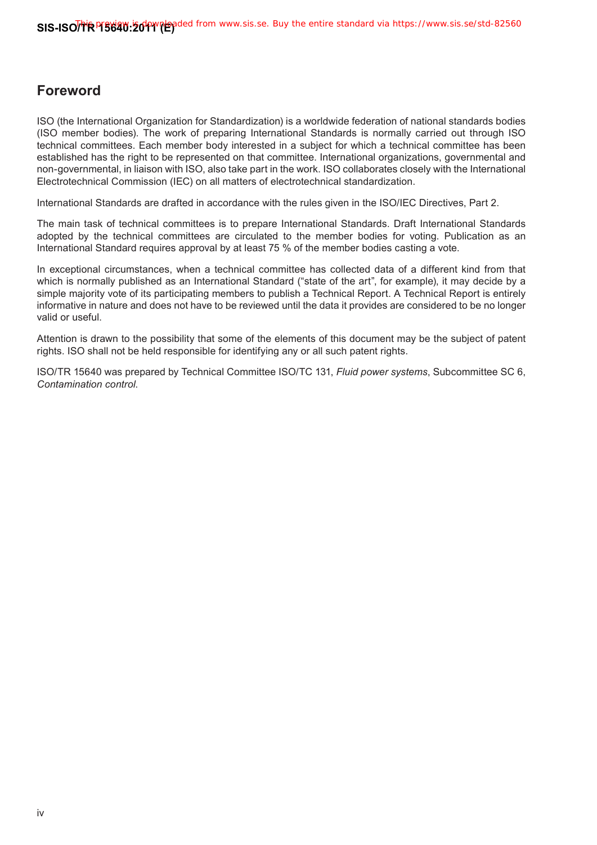## **Foreword**

ISO (the International Organization for Standardization) is a worldwide federation of national standards bodies (ISO member bodies). The work of preparing International Standards is normally carried out through ISO technical committees. Each member body interested in a subject for which a technical committee has been established has the right to be represented on that committee. International organizations, governmental and non-governmental, in liaison with ISO, also take part in the work. ISO collaborates closely with the International Electrotechnical Commission (IEC) on all matters of electrotechnical standardization.

International Standards are drafted in accordance with the rules given in the ISO/IEC Directives, Part 2.

The main task of technical committees is to prepare International Standards. Draft International Standards adopted by the technical committees are circulated to the member bodies for voting. Publication as an International Standard requires approval by at least 75 % of the member bodies casting a vote.

In exceptional circumstances, when a technical committee has collected data of a different kind from that which is normally published as an International Standard ("state of the art", for example), it may decide by a simple majority vote of its participating members to publish a Technical Report. A Technical Report is entirely informative in nature and does not have to be reviewed until the data it provides are considered to be no longer valid or useful.

Attention is drawn to the possibility that some of the elements of this document may be the subject of patent rights. ISO shall not be held responsible for identifying any or all such patent rights.

ISO/TR 15640 was prepared by Technical Committee ISO/TC 131, *Fluid power systems*, Subcommittee SC 6, *Contamination control*.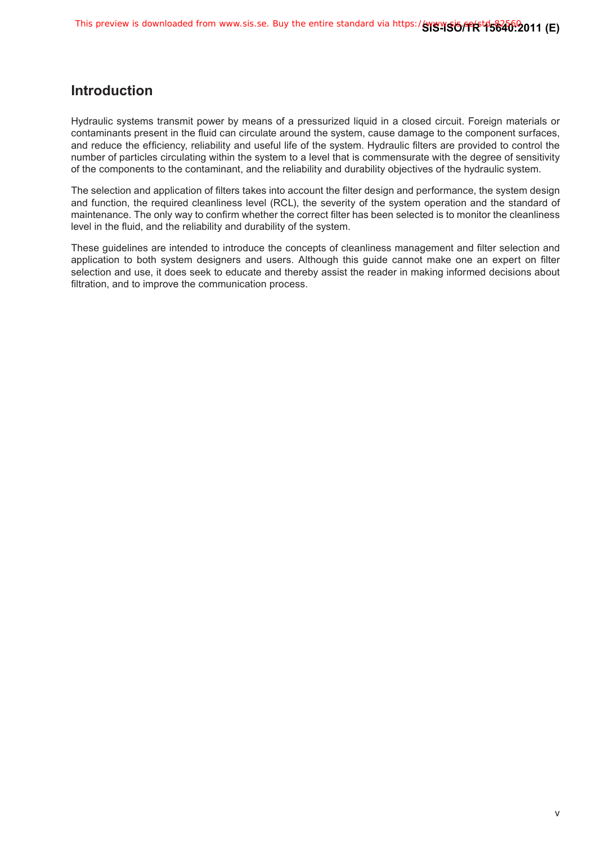## <span id="page-6-0"></span>**Introduction**

Hydraulic systems transmit power by means of a pressurized liquid in a closed circuit. Foreign materials or contaminants present in the fluid can circulate around the system, cause damage to the component surfaces, and reduce the efficiency, reliability and useful life of the system. Hydraulic filters are provided to control the number of particles circulating within the system to a level that is commensurate with the degree of sensitivity of the components to the contaminant, and the reliability and durability objectives of the hydraulic system.

The selection and application of filters takes into account the filter design and performance, the system design and function, the required cleanliness level (RCL), the severity of the system operation and the standard of maintenance. The only way to confirm whether the correct filter has been selected is to monitor the cleanliness level in the fluid, and the reliability and durability of the system.

These guidelines are intended to introduce the concepts of cleanliness management and filter selection and application to both system designers and users. Although this guide cannot make one an expert on filter selection and use, it does seek to educate and thereby assist the reader in making informed decisions about filtration, and to improve the communication process.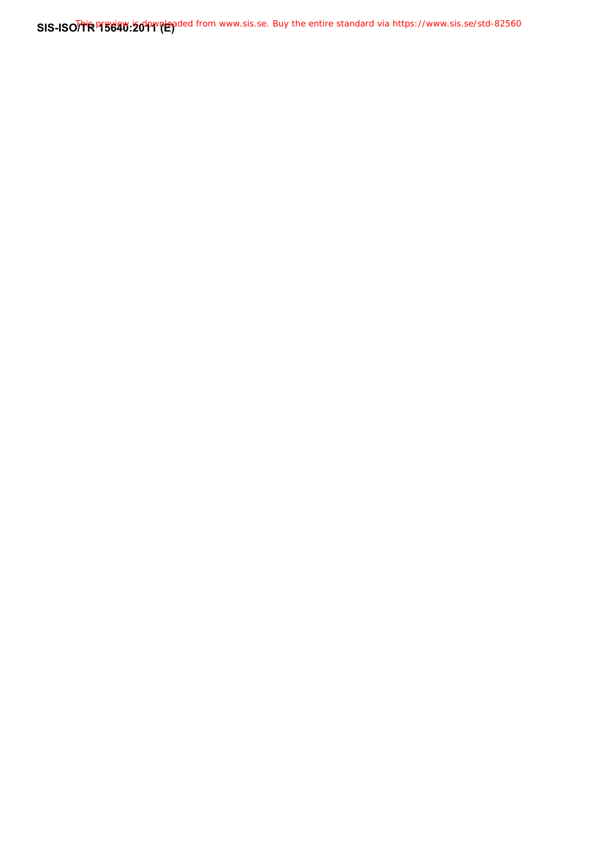<span id="page-7-0"></span>SIS-ISO<sup>F</sup>TR 15640:5041 (E) and www.sis.se. Buy the entire standard via https://www.sis.se/std-82560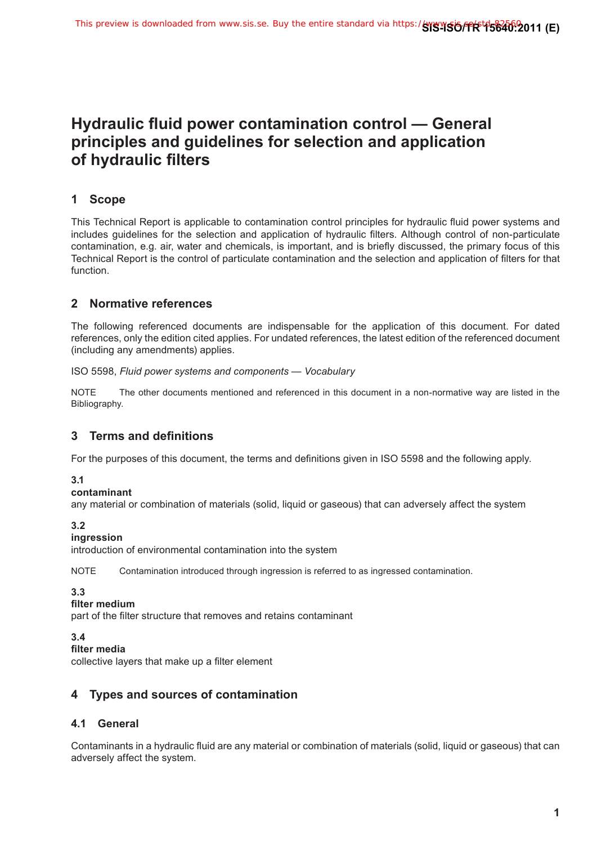## <span id="page-8-0"></span>**Hydraulic fluid power contamination control — General principles and guidelines for selection and application of hydraulic filters**

## **1 Scope**

This Technical Report is applicable to contamination control principles for hydraulic fluid power systems and includes guidelines for the selection and application of hydraulic filters. Although control of non-particulate contamination, e.g. air, water and chemicals, is important, and is briefly discussed, the primary focus of this Technical Report is the control of particulate contamination and the selection and application of filters for that function.

### **2 Normative references**

The following referenced documents are indispensable for the application of this document. For dated references, only the edition cited applies. For undated references, the latest edition of the referenced document (including any amendments) applies.

ISO 5598, *Fluid power systems and components — Vocabulary*

NOTE The other documents mentioned and referenced in this document in a non-normative way are listed in the Bibliography.

#### **3 Terms and definitions**

For the purposes of this document, the terms and definitions given in ISO 5598 and the following apply.

#### **3.1**

#### **contaminant**

any material or combination of materials (solid, liquid or gaseous) that can adversely affect the system

#### **3.2**

#### **ingression**

introduction of environmental contamination into the system

NOTE Contamination introduced through ingression is referred to as ingressed contamination.

#### **3.3**

#### **filter medium**

part of the filter structure that removes and retains contaminant

#### **3.4**

#### **filter media**

collective layers that make up a filter element

## **4 Types and sources of contamination**

### **4.1 General**

Contaminants in a hydraulic fluid are any material or combination of materials (solid, liquid or gaseous) that can adversely affect the system.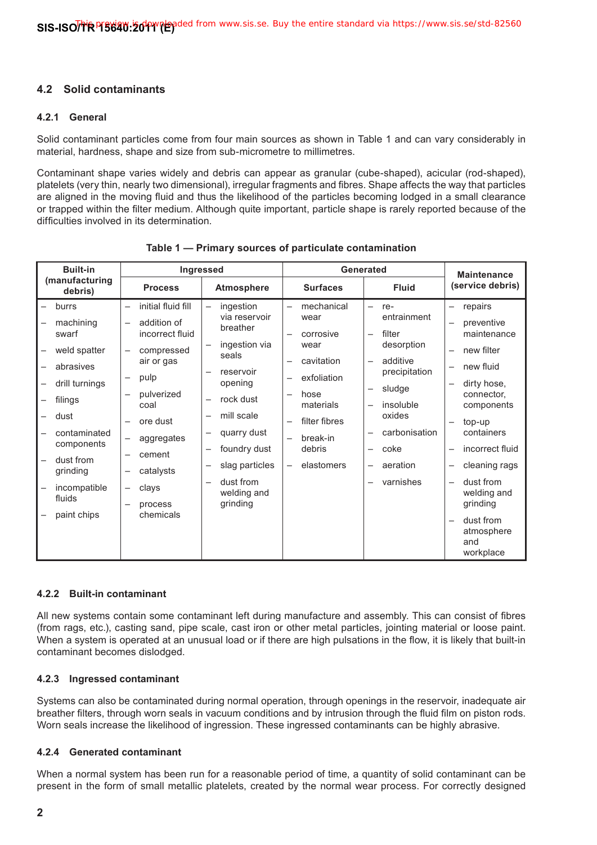#### <span id="page-9-0"></span>**4.2 Solid contaminants**

#### **4.2.1 General**

Solid contaminant particles come from four main sources as shown in Table 1 and can vary considerably in material, hardness, shape and size from sub-micrometre to millimetres.

Contaminant shape varies widely and debris can appear as granular (cube‑shaped), acicular (rod-shaped), platelets (very thin, nearly two dimensional), irregular fragments and fibres. Shape affects the way that particles are aligned in the moving fluid and thus the likelihood of the particles becoming lodged in a small clearance or trapped within the filter medium. Although quite important, particle shape is rarely reported because of the difficulties involved in its determination.

| <b>Built-in</b>                                                                                               | Ingressed                                                                                                                                                                             |                                                                                                                                                                                                         | Generated                                                                                                                                                                                           |                                                                                                                                                                                                               | <b>Maintenance</b>                                                                                                                                                                                                     |
|---------------------------------------------------------------------------------------------------------------|---------------------------------------------------------------------------------------------------------------------------------------------------------------------------------------|---------------------------------------------------------------------------------------------------------------------------------------------------------------------------------------------------------|-----------------------------------------------------------------------------------------------------------------------------------------------------------------------------------------------------|---------------------------------------------------------------------------------------------------------------------------------------------------------------------------------------------------------------|------------------------------------------------------------------------------------------------------------------------------------------------------------------------------------------------------------------------|
| (manufacturing<br>debris)                                                                                     | <b>Process</b>                                                                                                                                                                        | <b>Atmosphere</b>                                                                                                                                                                                       | <b>Surfaces</b>                                                                                                                                                                                     | <b>Fluid</b>                                                                                                                                                                                                  | (service debris)                                                                                                                                                                                                       |
| burrs<br>machining<br>swarf<br>weld spatter<br>abrasives<br>drill turnings<br>filings<br>dust<br>contaminated | initial fluid fill<br>addition of<br>$\overline{\phantom{0}}$<br>incorrect fluid<br>compressed<br>-<br>air or gas<br>pulp<br>$\qquad \qquad -$<br>pulverized<br>coal<br>ore dust<br>- | ingestion<br>$\overline{\phantom{0}}$<br>via reservoir<br>breather<br>ingestion via<br>$\overline{\phantom{0}}$<br>seals<br>reservoir<br>opening<br>rock dust<br>$\overline{\phantom{0}}$<br>mill scale | mechanical<br>$\overline{\phantom{0}}$<br>wear<br>corrosive<br>$\overline{\phantom{0}}$<br>wear<br>cavitation<br>-<br>exfoliation<br>hose<br>materials<br>filter fibres<br>$\overline{\phantom{0}}$ | re-<br>$\overline{\phantom{0}}$<br>entrainment<br>filter<br>$\overline{\phantom{0}}$<br>desorption<br>additive<br>$\overline{\phantom{0}}$<br>precipitation<br>sludge<br>insoluble<br>oxides<br>carbonisation | repairs<br>preventive<br>maintenance<br>new filter<br>$\overline{\phantom{0}}$<br>new fluid<br>$\overline{\phantom{0}}$<br>dirty hose,<br>connector,<br>components<br>top-up<br>$\overline{\phantom{0}}$<br>containers |
| components<br>dust from<br>grinding<br>incompatible<br>fluids<br>paint chips                                  | aggregates<br>$\qquad \qquad -$<br>cement<br>$\overline{\phantom{0}}$<br>catalysts<br>clays<br>$\overline{\phantom{0}}$<br>process<br>chemicals                                       | quarry dust<br>foundry dust<br>-<br>slag particles<br>—<br>dust from<br>welding and<br>grinding                                                                                                         | break-in<br>$\overline{\phantom{0}}$<br>debris<br>elastomers<br>$\overline{\phantom{0}}$                                                                                                            | coke<br>$\overline{\phantom{0}}$<br>aeration<br>varnishes                                                                                                                                                     | incorrect fluid<br>$\overline{\phantom{0}}$<br>cleaning rags<br>-<br>dust from<br>$\overline{\phantom{0}}$<br>welding and<br>grinding<br>dust from<br>atmosphere<br>and<br>workplace                                   |

**Table 1 — Primary sources of particulate contamination**

#### **4.2.2 Built-in contaminant**

All new systems contain some contaminant left during manufacture and assembly. This can consist of fibres (from rags, etc.), casting sand, pipe scale, cast iron or other metal particles, jointing material or loose paint. When a system is operated at an unusual load or if there are high pulsations in the flow, it is likely that built-in contaminant becomes dislodged.

#### **4.2.3 Ingressed contaminant**

Systems can also be contaminated during normal operation, through openings in the reservoir, inadequate air breather filters, through worn seals in vacuum conditions and by intrusion through the fluid film on piston rods. Worn seals increase the likelihood of ingression. These ingressed contaminants can be highly abrasive.

#### **4.2.4 Generated contaminant**

When a normal system has been run for a reasonable period of time, a quantity of solid contaminant can be present in the form of small metallic platelets, created by the normal wear process. For correctly designed